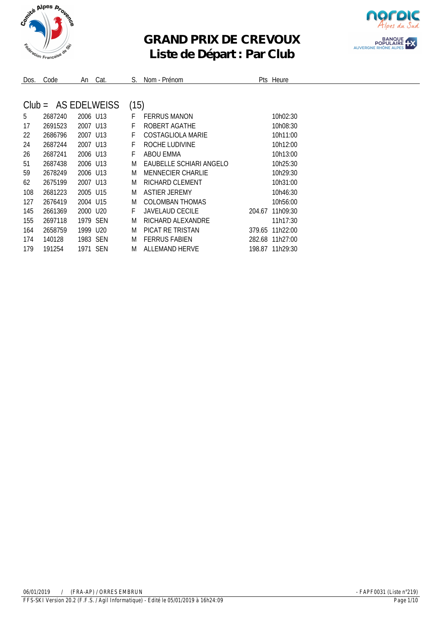

## **GRAND PRIX DE CREVOUX Liste de Départ : Par Club**



| Dos.     | Code    | An                   | Cat.         | S.   | Nom - Prénom             |        | Pts Heure       |
|----------|---------|----------------------|--------------|------|--------------------------|--------|-----------------|
|          |         |                      |              |      |                          |        |                 |
| $Club =$ |         |                      | AS EDELWEISS | (15) |                          |        |                 |
| 5        | 2687240 | 2006 U13             |              | F    | <b>FERRUS MANON</b>      |        | 10h02:30        |
| 17       | 2691523 | 2007 U13             |              | F    | ROBERT AGATHE            |        | 10h08:30        |
| 22       | 2686796 | 2007 U13             |              | F    | COSTAGLIOLA MARIE        |        | 10h11:00        |
| 24       | 2687244 | 2007 U13             |              | F    | ROCHE LUDIVINE           |        | 10h12:00        |
| 26       | 2687241 | 2006 U13             |              | F    | ABOU EMMA                |        | 10h13:00        |
| 51       | 2687438 | 2006 U13             |              | M    | EAUBELLE SCHIARI ANGELO  |        | 10h25:30        |
| 59       | 2678249 | 2006 U13             |              | M    | <b>MENNECIER CHARLIE</b> |        | 10h29:30        |
| 62       | 2675199 | 2007 U13             |              | M    | RICHARD CLEMENT          |        | 10h31:00        |
| 108      | 2681223 | 2005 U15             |              | M    | <b>ASTIER JEREMY</b>     |        | 10h46:30        |
| 127      | 2676419 | 2004 U15             |              | M    | COLOMBAN THOMAS          |        | 10h56:00        |
| 145      | 2661369 | 2000 U <sub>20</sub> |              | F    | JAVELAUD CECILE          | 204.67 | 11h09:30        |
| 155      | 2697118 | 1979 SEN             |              | M    | RICHARD ALEXANDRE        |        | 11h17:30        |
| 164      | 2658759 | 1999 U20             |              | M    | PICAT RE TRISTAN         | 379.65 | 11h22:00        |
| 174      | 140128  | 1983 SEN             |              | M    | <b>FERRUS FABIEN</b>     |        | 282.68 11h27:00 |
| 179      | 191254  | 1971 SEN             |              | M    | <b>ALLEMAND HERVE</b>    |        | 198.87 11h29:30 |
|          |         |                      |              |      |                          |        |                 |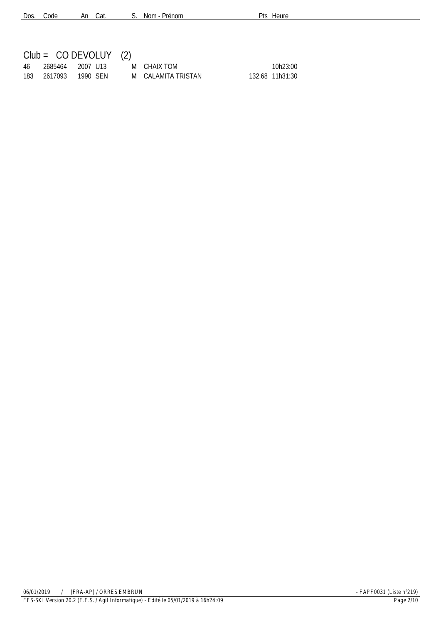| Dos. Code | An Cat. | S. Nom - Prénom |
|-----------|---------|-----------------|
|-----------|---------|-----------------|

Pts Heure

|     | $Club = CO DEVOLUY (2)$ |                    |                 |
|-----|-------------------------|--------------------|-----------------|
|     | 46 2685464 2007-U13     | M CHAIX TOM        | 10h23:00        |
| 183 | 2617093  1990 SFN       | M CALAMITA TRISTAN | 132.68 11h31:30 |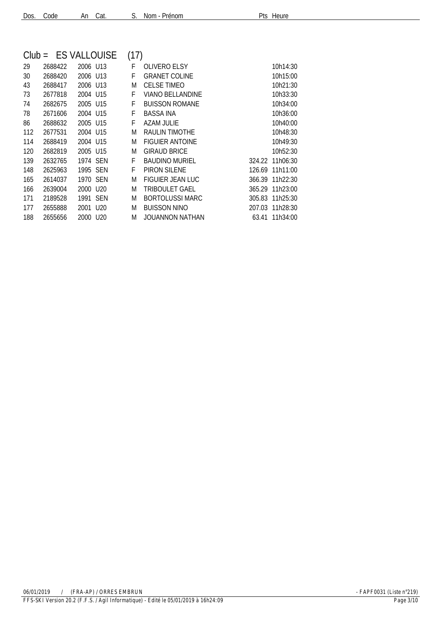| Dos. Code |  | An Cat. |  |
|-----------|--|---------|--|
|           |  |         |  |

| Nom - Prénom | Pts Heure |
|--------------|-----------|
|              |           |

| $Club =$ | <b>ES VALLOUISE</b> |                      |            | (17) |                         |        |                 |
|----------|---------------------|----------------------|------------|------|-------------------------|--------|-----------------|
| 29       | 2688422             | 2006 U13             |            | F    | <b>OLIVERO ELSY</b>     |        | 10h14:30        |
| 30       | 2688420             | 2006 U13             |            | F    | <b>GRANET COLINE</b>    |        | 10h15:00        |
| 43       | 2688417             | 2006 U13             |            | M    | <b>CELSE TIMEO</b>      |        | 10h21:30        |
| 73       | 2677818             | 2004 U15             |            | F    | <b>VIANO BELLANDINE</b> |        | 10h33:30        |
| 74       | 2682675             | 2005 U15             |            | F    | <b>BUISSON ROMANE</b>   |        | 10h34:00        |
| 78       | 2671606             | 2004 U15             |            | F    | BASSA INA               |        | 10h36:00        |
| 86       | 2688632             | 2005 U15             |            | F    | AZAM JULIE              |        | 10h40:00        |
| 112      | 2677531             | 2004 U15             |            | M    | RAULIN TIMOTHE          |        | 10h48:30        |
| 114      | 2688419             | 2004 U15             |            | M    | <b>FIGUIER ANTOINE</b>  |        | 10h49:30        |
| 120      | 2682819             | 2005 U15             |            | M    | <b>GIRAUD BRICE</b>     |        | 10h52:30        |
| 139      | 2632765             | 1974 SEN             |            | F    | <b>BAUDINO MURIEL</b>   |        | 324.22 11h06:30 |
| 148      | 2625963             | 1995 SEN             |            | F    | PIRON SILENE            | 126.69 | 11h11:00        |
| 165      | 2614037             | 1970 SEN             |            | M    | <b>FIGUIER JEAN LUC</b> | 366.39 | 11h22:30        |
| 166      | 2639004             | 2000 U <sub>20</sub> |            | M    | TRIBOULET GAEL          | 365.29 | 11h23:00        |
| 171      | 2189528             | 1991                 | <b>SEN</b> | M    | <b>BORTOLUSSI MARC</b>  | 305.83 | 11h25:30        |
| 177      | 2655888             | 2001                 | U20        | M    | <b>BUISSON NINO</b>     | 207.03 | 11h28:30        |
| 188      | 2655656             | 2000 U <sub>20</sub> |            | M    | JOUANNON NATHAN         | 63.41  | 11h34:00        |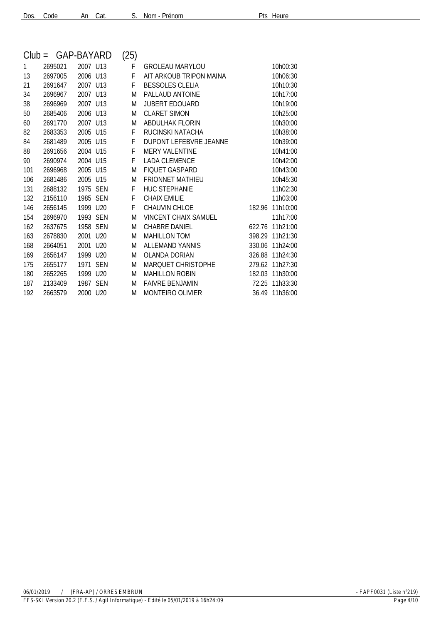| $Club =$ | GAP-BAYARD |          |     | (25) |                               |        |          |
|----------|------------|----------|-----|------|-------------------------------|--------|----------|
| 1        | 2695021    | 2007 U13 |     | F    | <b>GROLEAU MARYLOU</b>        |        | 10h00:30 |
| 13       | 2697005    | 2006 U13 |     | F    | AIT ARKOUB TRIPON MAINA       |        | 10h06:30 |
| 21       | 2691647    | 2007 U13 |     | F    | <b>BESSOLES CLELIA</b>        |        | 10h10:30 |
| 34       | 2696967    | 2007 U13 |     | M    | PALLAUD ANTOINE               |        | 10h17:00 |
| 38       | 2696969    | 2007 U13 |     | M    | <b>JUBERT EDOUARD</b>         |        | 10h19:00 |
| 50       | 2685406    | 2006 U13 |     | M    | <b>CLARET SIMON</b>           |        | 10h25:00 |
| 60       | 2691770    | 2007 U13 |     | M    | <b>ABDULHAK FLORIN</b>        |        | 10h30:00 |
| 82       | 2683353    | 2005 U15 |     | F    | RUCINSKI NATACHA              |        | 10h38:00 |
| 84       | 2681489    | 2005 U15 |     | F    | <b>DUPONT LEFEBVRE JEANNE</b> |        | 10h39:00 |
| 88       | 2691656    | 2004 U15 |     | F    | <b>MERY VALENTINE</b>         |        | 10h41:00 |
| 90       | 2690974    | 2004 U15 |     | F    | <b>LADA CLEMENCE</b>          |        | 10h42:00 |
| 101      | 2696968    | 2005 U15 |     | M    | <b>FIQUET GASPARD</b>         |        | 10h43:00 |
| 106      | 2681486    | 2005 U15 |     | M    | <b>FRIONNET MATHIEU</b>       |        | 10h45:30 |
| 131      | 2688132    | 1975     | SEN | F    | <b>HUC STEPHANIE</b>          |        | 11h02:30 |
| 132      | 2156110    | 1985     | SEN | F    | <b>CHAIX EMILIE</b>           |        | 11h03:00 |
| 146      | 2656145    | 1999 U20 |     | F    | CHAUVIN CHLOE                 | 182.96 | 11h10:00 |
| 154      | 2696970    | 1993 SEN |     | M    | <b>VINCENT CHAIX SAMUEL</b>   |        | 11h17:00 |
| 162      | 2637675    | 1958 SEN |     | M    | CHABRE DANIFI                 | 622.76 | 11h21:00 |
| 163      | 2678830    | 2001     | U20 | M    | <b>MAHILLON TOM</b>           | 398.29 | 11h21:30 |
| 168      | 2664051    | 2001     | U20 | M    | <b>ALLEMAND YANNIS</b>        | 330.06 | 11h24:00 |
| 169      | 2656147    | 1999     | U20 | M    | <b>OLANDA DORIAN</b>          | 326.88 | 11h24:30 |
| 175      | 2655177    | 1971 SEN |     | M    | <b>MARQUET CHRISTOPHE</b>     | 279.62 | 11h27:30 |
| 180      | 2652265    | 1999 U20 |     | M    | <b>MAHILLON ROBIN</b>         | 182.03 | 11h30:00 |
| 187      | 2133409    | 1987 SEN |     | M    | <b>FAIVRE BENJAMIN</b>        | 72.25  | 11h33:30 |
| 192      | 2663579    | 2000 U20 |     | M    | MONTEIRO OLIVIER              | 36.49  | 11h36:00 |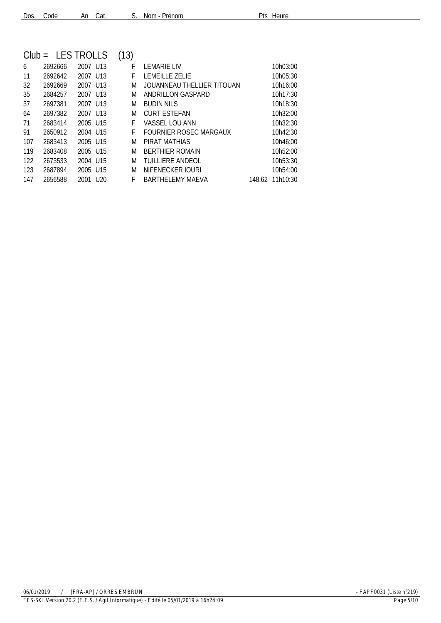| Dos. Code |  |  | An Cat. |  | S. Nom - Prénom |
|-----------|--|--|---------|--|-----------------|
|-----------|--|--|---------|--|-----------------|

Pts Heure

| $Club =$ |         | <b>LES TROLLS</b>       | (13) |                            |        |          |
|----------|---------|-------------------------|------|----------------------------|--------|----------|
| 6        | 2692666 | 2007 U13                | F    | LEMARIE LIV                |        | 10h03:00 |
| 11       | 2692642 | 2007 U13                | F    | LEMEILLE ZELIE             |        | 10h05:30 |
| 32       | 2692669 | 2007 U13                | M    | JOUANNEAU THELLIER TITOUAN |        | 10h16:00 |
| 35       | 2684257 | 2007 U13                | M    | ANDRILLON GASPARD          |        | 10h17:30 |
| 37       | 2697381 | 2007 U13                | M    | BUDIN NILS                 |        | 10h18:30 |
| 64       | 2697382 | 2007 U13                | M    | <b>CURT ESTEFAN</b>        |        | 10h32:00 |
| 71       | 2683414 | 2005 U15                | F    | VASSEL LOU ANN             |        | 10h32:30 |
| 91       | 2650912 | 2004 U15                | F    | FOURNIER ROSEC MARGAUX     |        | 10h42:30 |
| 107      | 2683413 | 2005 U15                | M    | PIRAT MATHIAS              |        | 10h46:00 |
| 119      | 2683408 | 2005 U15                | M    | <b>BERTHIER ROMAIN</b>     |        | 10h52:00 |
| 122      | 2673533 | 2004 U15                | M    | <b>TUILLIERE ANDEOL</b>    |        | 10h53:30 |
| 123      | 2687894 | 2005 U15                | M    | NIFENECKER JOURI           |        | 10h54:00 |
| 147      | 2656588 | U <sub>20</sub><br>2001 | F    | <b>BARTHELEMY MAEVA</b>    | 148.62 | 11h10:30 |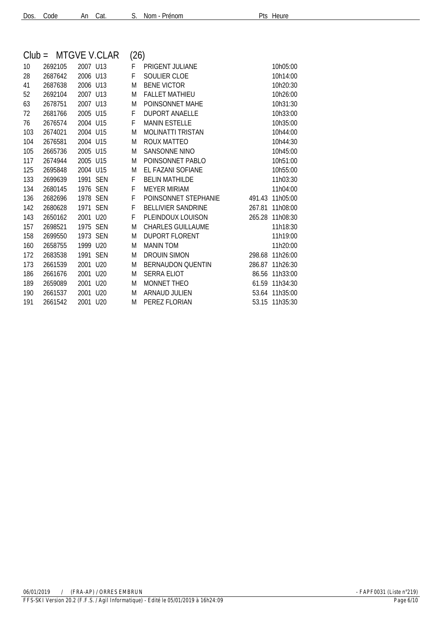| Dos. Code | An Cat. | S.N |  |
|-----------|---------|-----|--|
|           |         |     |  |

| Nom - Prénom | Pts Heure |
|--------------|-----------|
|              |           |

| (26)<br>MTGVE V.CLAR<br>$Club =$ |         |          |            |   |                           |        |          |
|----------------------------------|---------|----------|------------|---|---------------------------|--------|----------|
| 10                               | 2692105 | 2007 U13 |            | F | PRIGENT JULIANE           |        | 10h05:00 |
| 28                               | 2687642 | 2006 U13 |            | F | <b>SOULIER CLOE</b>       |        | 10h14:00 |
| 41                               | 2687638 | 2006 U13 |            | M | <b>BENE VICTOR</b>        |        | 10h20:30 |
| 52                               | 2692104 | 2007 U13 |            | M | <b>FALLET MATHIEU</b>     |        | 10h26:00 |
| 63                               | 2678751 | 2007 U13 |            | M | POINSONNET MAHE           |        | 10h31:30 |
| 72                               | 2681766 | 2005 U15 |            | F | <b>DUPORT ANAELLE</b>     |        | 10h33:00 |
| 76                               | 2676574 | 2004 U15 |            | F | <b>MANIN ESTELLE</b>      |        | 10h35:00 |
| 103                              | 2674021 | 2004 U15 |            | M | <b>MOLINATTI TRISTAN</b>  |        | 10h44:00 |
| 104                              | 2676581 | 2004 U15 |            | M | ROUX MATTEO               |        | 10h44:30 |
| 105                              | 2665736 | 2005 U15 |            | M | <b>SANSONNE NINO</b>      |        | 10h45:00 |
| 117                              | 2674944 | 2005 U15 |            | M | POINSONNET PABLO          |        | 10h51:00 |
| 125                              | 2695848 | 2004 U15 |            | M | EL FAZANI SOFIANE         |        | 10h55:00 |
| 133                              | 2699639 | 1991     | <b>SEN</b> | F | <b>BELIN MATHILDE</b>     |        | 11h03:30 |
| 134                              | 2680145 | 1976 SEN |            | F | <b>MEYER MIRIAM</b>       |        | 11h04:00 |
| 136                              | 2682696 | 1978 SEN |            | F | POINSONNET STEPHANIE      | 491.43 | 11h05:00 |
| 142                              | 2680628 | 1971     | <b>SEN</b> | F | <b>BELLIVIER SANDRINE</b> | 267.81 | 11h08:00 |
| 143                              | 2650162 | 2001     | U20        | F | PLEINDOUX LOUISON         | 265.28 | 11h08:30 |
| 157                              | 2698521 | 1975 SEN |            | M | <b>CHARLES GUILLAUME</b>  |        | 11h18:30 |
| 158                              | 2699550 | 1973 SEN |            | M | <b>DUPORT FLORENT</b>     |        | 11h19:00 |
| 160                              | 2658755 | 1999 U20 |            | M | <b>MANIN TOM</b>          |        | 11h20:00 |
| 172                              | 2683538 | 1991     | SEN        | M | <b>DROUIN SIMON</b>       | 298.68 | 11h26:00 |
| 173                              | 2661539 | 2001     | U20        | M | <b>BERNAUDON QUENTIN</b>  | 286.87 | 11h26:30 |
| 186                              | 2661676 | 2001     | U20        | M | <b>SERRA ELIOT</b>        | 86.56  | 11h33:00 |
| 189                              | 2659089 | 2001     | U20        | M | <b>MONNET THEO</b>        | 61.59  | 11h34:30 |
| 190                              | 2661537 | 2001     | U20        | M | <b>ARNAUD JULIEN</b>      | 53.64  | 11h35:00 |
| 191                              | 2661542 | 2001 U20 |            | M | PEREZ FLORIAN             | 53.15  | 11h35:30 |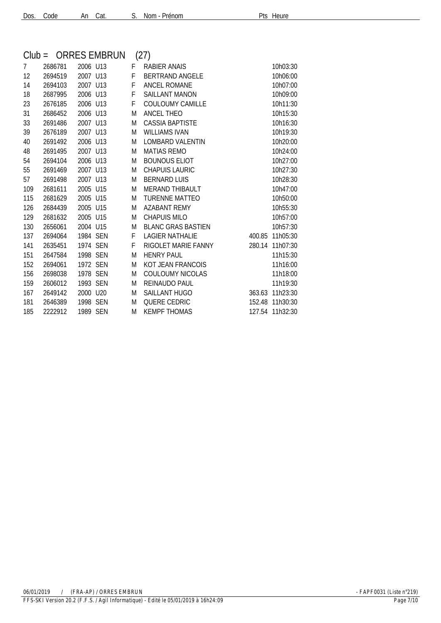| $Club =$ |         |          | <b>ORRES EMBRUN</b> |   | (27)                      |        |                 |
|----------|---------|----------|---------------------|---|---------------------------|--------|-----------------|
| 7        | 2686781 | 2006 U13 |                     | F | <b>RABIER ANAIS</b>       |        | 10h03:30        |
| 12       | 2694519 | 2007 U13 |                     | F | <b>BERTRAND ANGELE</b>    |        | 10h06:00        |
| 14       | 2694103 | 2007 U13 |                     | F | <b>ANCEL ROMANE</b>       |        | 10h07:00        |
| 18       | 2687995 | 2006 U13 |                     | F | <b>SAILLANT MANON</b>     |        | 10h09:00        |
| 23       | 2676185 | 2006 U13 |                     | F | COULOUMY CAMILLE          |        | 10h11:30        |
| 31       | 2686452 | 2006 U13 |                     | M | <b>ANCEL THEO</b>         |        | 10h15:30        |
| 33       | 2691486 | 2007 U13 |                     | M | <b>CASSIA BAPTISTE</b>    |        | 10h16:30        |
| 39       | 2676189 | 2007 U13 |                     | M | <b>WILLIAMS IVAN</b>      |        | 10h19:30        |
| 40       | 2691492 | 2006 U13 |                     | M | <b>LOMBARD VALENTIN</b>   |        | 10h20:00        |
| 48       | 2691495 | 2007 U13 |                     | M | <b>MATIAS REMO</b>        |        | 10h24:00        |
| 54       | 2694104 | 2006 U13 |                     | M | <b>BOUNOUS ELIOT</b>      |        | 10h27:00        |
| 55       | 2691469 | 2007 U13 |                     | M | <b>CHAPUIS LAURIC</b>     |        | 10h27:30        |
| 57       | 2691498 | 2007 U13 |                     | M | <b>BERNARD LUIS</b>       |        | 10h28:30        |
| 109      | 2681611 | 2005 U15 |                     | M | <b>MERAND THIBAULT</b>    |        | 10h47:00        |
| 115      | 2681629 | 2005 U15 |                     | M | <b>TURENNE MATTEO</b>     |        | 10h50:00        |
| 126      | 2684439 | 2005 U15 |                     | M | <b>AZABANT REMY</b>       |        | 10h55:30        |
| 129      | 2681632 | 2005 U15 |                     | M | <b>CHAPUIS MILO</b>       |        | 10h57:00        |
| 130      | 2656061 | 2004 U15 |                     | M | <b>BLANC GRAS BASTIEN</b> |        | 10h57:30        |
| 137      | 2694064 | 1984 SEN |                     | F | <b>LAGIER NATHALIE</b>    | 400.85 | 11h05:30        |
| 141      | 2635451 | 1974 SEN |                     | F | RIGOLET MARIE FANNY       |        | 280.14 11h07:30 |
| 151      | 2647584 | 1998 SEN |                     | M | <b>HENRY PAUL</b>         |        | 11h15:30        |
| 152      | 2694061 | 1972 SEN |                     | M | KOT JEAN FRANCOIS         |        | 11h16:00        |
| 156      | 2698038 | 1978 SEN |                     | M | COULOUMY NICOLAS          |        | 11h18:00        |
| 159      | 2606012 | 1993 SEN |                     | M | REINAUDO PAUL             |        | 11h19:30        |
| 167      | 2649142 | 2000 U20 |                     | M | <b>SAILLANT HUGO</b>      | 363.63 | 11h23:30        |
| 181      | 2646389 | 1998 SEN |                     | M | <b>QUERE CEDRIC</b>       | 152.48 | 11h30:30        |
| 185      | 2222912 | 1989 SEN |                     | M | <b>KEMPF THOMAS</b>       |        | 127.54 11h32:30 |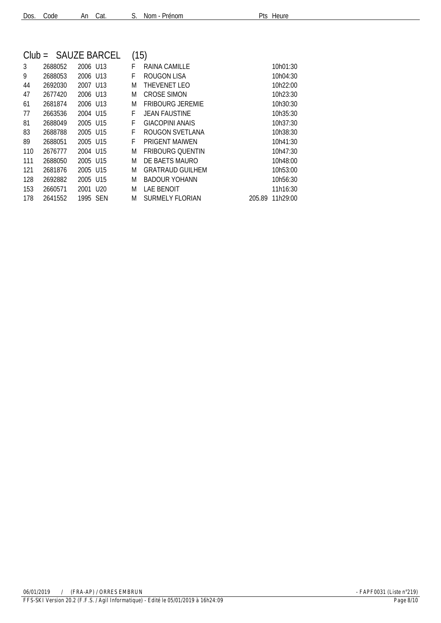| $Club =$ |         |                      | SAUZE BARCEL | (15) |                         |        |          |
|----------|---------|----------------------|--------------|------|-------------------------|--------|----------|
| 3        | 2688052 | 2006 U13             |              | F    | RAINA CAMILLE           |        | 10h01:30 |
| 9        | 2688053 | 2006 U13             |              | F    | ROUGON LISA             |        | 10h04:30 |
| 44       | 2692030 | 2007 U13             |              | M    | THEVENET LEO            |        | 10h22:00 |
| 47       | 2677420 | 2006 U13             |              | M    | <b>CROSE SIMON</b>      |        | 10h23:30 |
| 61       | 2681874 | 2006 U13             |              | M    | <b>FRIBOURG JEREMIE</b> |        | 10h30:30 |
| 77       | 2663536 | 2004 U15             |              | F    | <b>JEAN FAUSTINE</b>    |        | 10h35:30 |
| 81       | 2688049 | 2005 U15             |              | F    | <b>GIACOPINI ANAIS</b>  |        | 10h37:30 |
| 83       | 2688788 | 2005 U15             |              | F    | ROUGON SVETLANA         |        | 10h38:30 |
| 89       | 2688051 | 2005 U15             |              | F    | <b>PRIGENT MAIWEN</b>   |        | 10h41:30 |
| 110      | 2676777 | 2004 U15             |              | M    | <b>FRIBOURG OUENTIN</b> |        | 10h47:30 |
| 111      | 2688050 | 2005 U15             |              | M    | DE BAETS MAURO          |        | 10h48:00 |
| 121      | 2681876 | 2005 U15             |              | M    | <b>GRATRAUD GUILHEM</b> |        | 10h53:00 |
| 128      | 2692882 | 2005 U15             |              | M    | <b>BADOUR YOHANN</b>    |        | 10h56:30 |
| 153      | 2660571 | 2001 U <sub>20</sub> |              | M    | <b>LAE BENOIT</b>       |        | 11h16:30 |
| 178      | 2641552 | 1995 SEN             |              | M    | <b>SURMELY FLORIAN</b>  | 205.89 | 11h29:00 |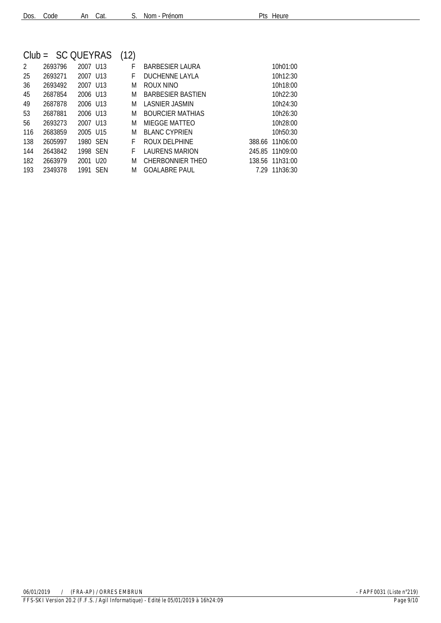|  |  | Dos. Code |  | An Cat. |  | S. Nom - F |
|--|--|-----------|--|---------|--|------------|
|--|--|-----------|--|---------|--|------------|

Prénom Prénom Pts Heure

|                |         | $Club = SC QUEYRAS$  | (12) |                          |                    |
|----------------|---------|----------------------|------|--------------------------|--------------------|
| $\mathfrak{D}$ | 2693796 | 2007 U13             | F    | BARBESIER LAURA          | 10h01:00           |
| 25             | 2693271 | 2007 U13             | F    | DUCHENNE LAYLA           | 10h12:30           |
| 36             | 2693492 | 2007 U13             | M    | ROUX NINO                | 10h18:00           |
| 45             | 2687854 | 2006 U13             | M    | <b>BARBESIER BASTIEN</b> | 10h22:30           |
| 49             | 2687878 | 2006 U13             | M    | LASNIER JASMIN           | 10h24:30           |
| 53             | 2687881 | 2006 U13             | M    | <b>BOURCIFR MATHIAS</b>  | 10h26:30           |
| 56             | 2693273 | 2007 1113            | M    | MIFGGF MATTEO            | 10h28:00           |
| 116            | 2683859 | 2005 U15             | M    | <b>BLANC CYPRIEN</b>     | 10h50:30           |
| 138            | 2605997 | 1980 SEN             | F    | ROUX DELPHINE            | 11h06:00<br>388.66 |
| 144            | 2643842 | 1998 SEN             | F    | <b>LAURENS MARION</b>    | 245.85 11h09:00    |
| 182            | 2663979 | 2001 U <sub>20</sub> | M    | CHERBONNIER THEO         | 11h31:00<br>138.56 |
| 193            | 2349378 | <b>SFN</b><br>1991   | M    | <b>GOALABRE PAUL</b>     | 7.29<br>11h36:30   |